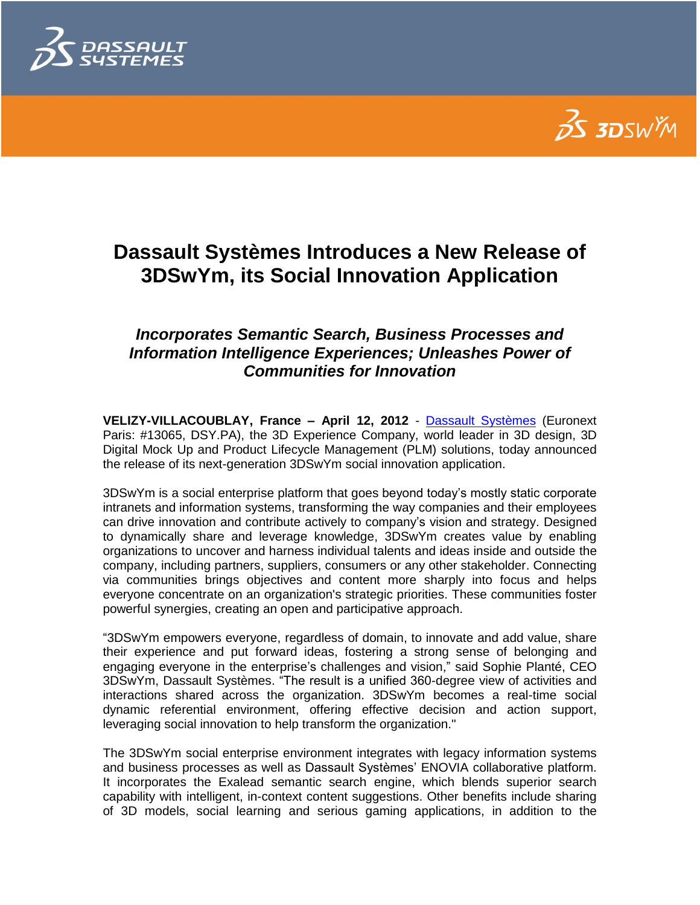



# **Dassault Systèmes Introduces a New Release of 3DSwYm, its Social Innovation Application**

## *Incorporates Semantic Search, Business Processes and Information Intelligence Experiences; Unleashes Power of Communities for Innovation*

**VELIZY-VILLACOUBLAY, France – April 12, 2012** - [Dassault Systèmes](http://www.3ds.com/) (Euronext Paris: #13065, DSY.PA), the 3D Experience Company, world leader in 3D design, 3D Digital Mock Up and Product Lifecycle Management (PLM) solutions, today announced the release of its next-generation 3DSwYm social innovation application.

3DSwYm is a social enterprise platform that goes beyond today"s mostly static corporate intranets and information systems, transforming the way companies and their employees can drive innovation and contribute actively to company"s vision and strategy. Designed to dynamically share and leverage knowledge, 3DSwYm creates value by enabling organizations to uncover and harness individual talents and ideas inside and outside the company, including partners, suppliers, consumers or any other stakeholder. Connecting via communities brings objectives and content more sharply into focus and helps everyone concentrate on an organization's strategic priorities. These communities foster powerful synergies, creating an open and participative approach.

"3DSwYm empowers everyone, regardless of domain, to innovate and add value, share their experience and put forward ideas, fostering a strong sense of belonging and engaging everyone in the enterprise"s challenges and vision," said Sophie Planté, CEO 3DSwYm, Dassault Systèmes. "The result is a unified 360-degree view of activities and interactions shared across the organization. 3DSwYm becomes a real-time social dynamic referential environment, offering effective decision and action support, leveraging social innovation to help transform the organization."

The 3DSwYm social enterprise environment integrates with legacy information systems and business processes as well as Dassault Systèmes" ENOVIA collaborative platform. It incorporates the Exalead semantic search engine, which blends superior search capability with intelligent, in-context content suggestions. Other benefits include sharing of 3D models, social learning and serious gaming applications, in addition to the